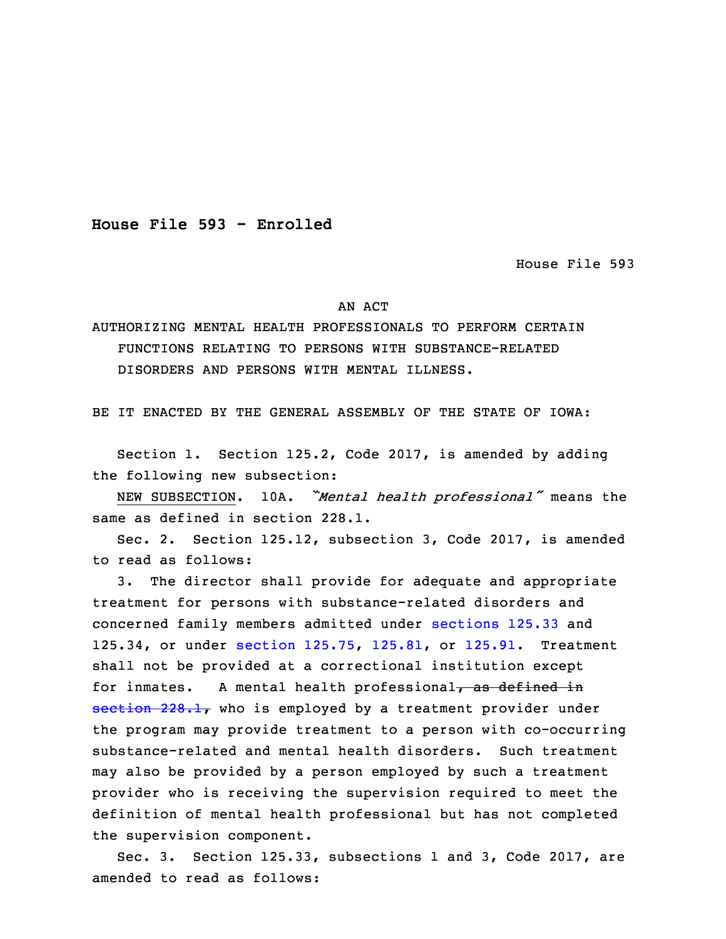**House File 593 - Enrolled**

House File 593

## AN ACT

## AUTHORIZING MENTAL HEALTH PROFESSIONALS TO PERFORM CERTAIN FUNCTIONS RELATING TO PERSONS WITH SUBSTANCE-RELATED DISORDERS AND PERSONS WITH MENTAL ILLNESS.

BE IT ENACTED BY THE GENERAL ASSEMBLY OF THE STATE OF IOWA:

 Section 1. Section 125.2, Code 2017, is amended by adding the following new subsection:

<sup>3</sup> NEW SUBSECTION. 10A. *"Mental health professional"* means the same as defined in section 228.1.

5 Sec. 2. Section 125.12, subsection 3, Code 2017, is amended to read as follows:

3. The director shall provide for adequate and appropriate treatment for persons with substance-related disorders and concerned family members admitted under [sections](https://www.legis.iowa.gov/docs/code/2017/125.33.pdf) 125.33 and 125.34, or under section [125.75](https://www.legis.iowa.gov/docs/code/2017/125.75.pdf), [125.81](https://www.legis.iowa.gov/docs/code/2017/125.81.pdf), or [125.91](https://www.legis.iowa.gov/docs/code/2017/125.91.pdf). Treatment shall not be provided at <sup>a</sup> correctional institution except for inmates. A mental health professional, as defined in  $setion$  228.1, who is employed by a treatment provider under the program may provide treatment to <sup>a</sup> person with co-occurring substance-related and mental health disorders. Such treatment may also be provided by a person employed by such a treatment provider who is receiving the supervision required to meet the definition of mental health professional but has not completed the supervision component.

Sec. 3. Section 125.33, subsections 1 and 3, Code 2017, are amended to read as follows: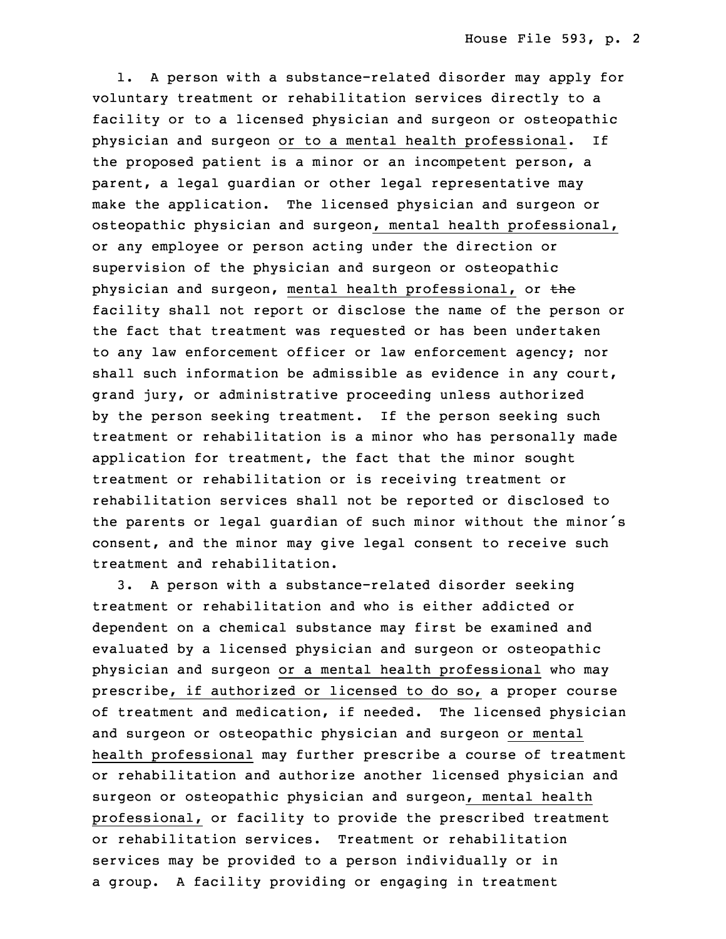1. <sup>A</sup> person with <sup>a</sup> substance-related disorder may apply for voluntary treatment or rehabilitation services directly to a facility or to <sup>a</sup> licensed physician and surgeon or osteopathic physician and surgeon or to a mental health professional. If the proposed patient is a minor or an incompetent person, a parent, a legal quardian or other legal representative may make the application. The licensed physician and surgeon or osteopathic physician and surgeon, mental health professional, or any employee or person acting under the direction or supervision of the physician and surgeon or osteopathic physician and surgeon, mental health professional, or the facility shall not report or disclose the name of the person or the fact that treatment was requested or has been undertaken to any law enforcement officer or law enforcement agency; nor shall such information be admissible as evidence in any court, grand jury, or administrative proceeding unless authorized by the person seeking treatment. If the person seeking such treatment or rehabilitation is <sup>a</sup> minor who has personally made application for treatment, the fact that the minor sought 6 treatment or rehabilitation or is receiving treatment or 7 rehabilitation services shall not be reported or disclosed to the parents or legal guardian of such minor without the minor's consent, and the minor may give legal consent to receive such treatment and rehabilitation.

 3. <sup>A</sup> person with <sup>a</sup> substance-related disorder seeking treatment or rehabilitation and who is either addicted or dependent on a chemical substance may first be examined and evaluated by <sup>a</sup> licensed physician and surgeon or osteopathic physician and surgeon or a mental health professional who may prescribe, if authorized or licensed to do so, a proper course of treatment and medication, if needed. The licensed physician and surgeon or osteopathic physician and surgeon or mental health professional may further prescribe a course of treatment or rehabilitation and authorize another licensed physician and surgeon or osteopathic physician and surgeon, mental health professional, or facility to provide the prescribed treatment or rehabilitation services. Treatment or rehabilitation services may be provided to <sup>a</sup> person individually or in a group. A facility providing or engaging in treatment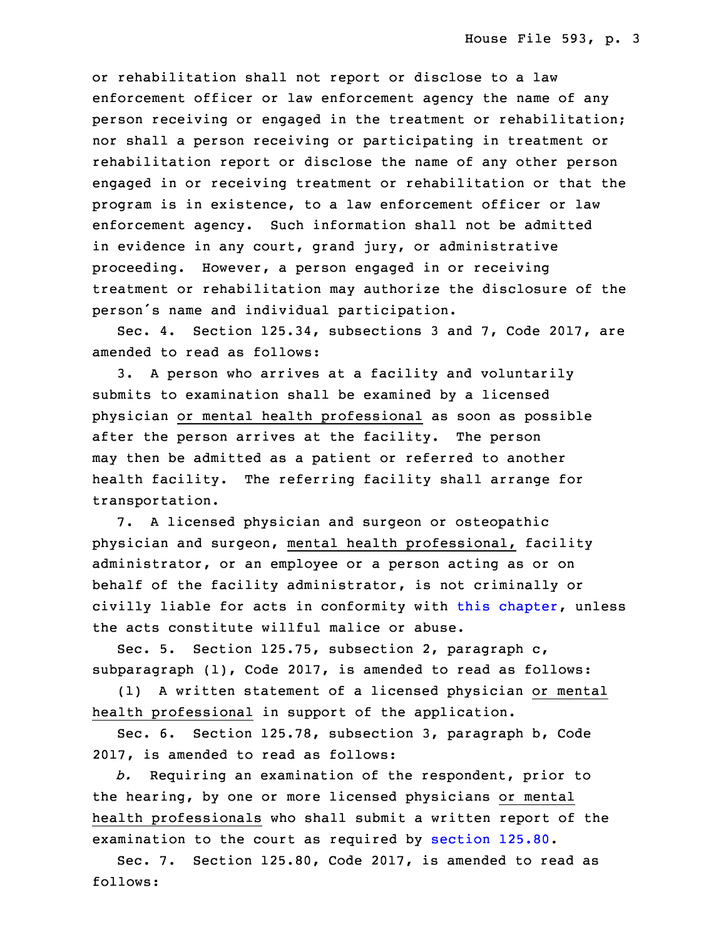or rehabilitation shall not report or disclose to a law enforcement officer or law enforcement agency the name of any person receiving or engaged in the treatment or rehabilitation; nor shall a person receiving or participating in treatment or rehabilitation report or disclose the name of any other person engaged in or receiving treatment or rehabilitation or that the program is in existence, to a law enforcement officer or law enforcement agency. Such information shall not be admitted in evidence in any court, grand jury, or administrative proceeding. However, a person engaged in or receiving treatment or rehabilitation may authorize the disclosure of the person's name and individual participation.

Sec. 4. Section 125.34, subsections 3 and 7, Code 2017, are amended to read as follows:

5 3. <sup>A</sup> person who arrives at <sup>a</sup> facility and voluntarily submits to examination shall be examined by a licensed physician or mental health professional as soon as possible after the person arrives at the facility. The person may then be admitted as a patient or referred to another health facility. The referring facility shall arrange for transportation.

 7. <sup>A</sup> licensed physician and surgeon or osteopathic physician and surgeon, mental health professional, facility administrator, or an employee or <sup>a</sup> person acting as or on behalf of the facility administrator, is not criminally or civilly liable for acts in conformity with this [chapter](https://www.legis.iowa.gov/docs/code/2017/125.pdf), unless the acts constitute willful malice or abuse.

Sec. 5. Section 125.75, subsection 2, paragraph  $c$ , subparagraph  $(1)$ , Code 2017, is amended to read as follows:

(1) A written statement of a licensed physician or mental health professional in support of the application.

 Sec. 6. Section 125.78, subsection 3, paragraph b, Code 2017, is amended to read as follows:

 *b.* Requiring an examination of the respondent, prior to the hearing, by one or more licensed physicians or mental health professionals who shall submit a written report of the examination to the court as required by [section](https://www.legis.iowa.gov/docs/code/2017/125.80.pdf) 125.80.

Sec. 7. Section 125.80, Code 2017, is amended to read as follows: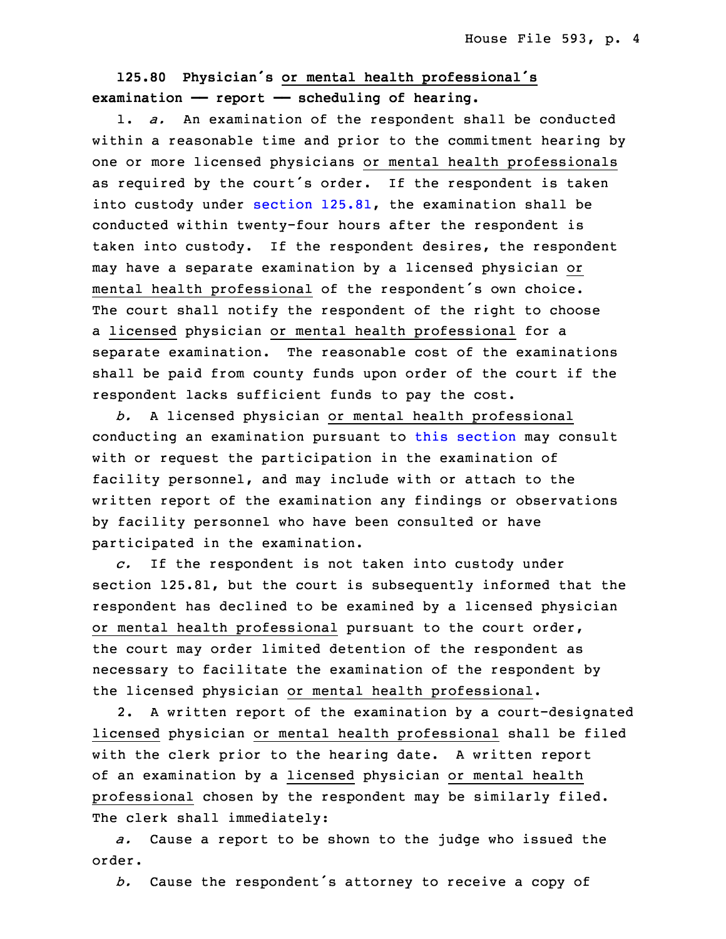## <sup>30</sup> **125.80 Physician's or mental health professional's** 31 **examination —— report —— scheduling of hearing.**

1. *a.* An examination of the respondent shall be conducted within a reasonable time and prior to the commitment hearing by one or more licensed physicians or mental health professionals as required by the court's order. If the respondent is taken into custody under section [125.81](https://www.legis.iowa.gov/docs/code/2017/125.81.pdf), the examination shall be conducted within twenty-four hours after the respondent is taken into custody. If the respondent desires, the respondent may have <sup>a</sup> separate examination by <sup>a</sup> licensed physician or mental health professional of the respondent's own choice. The court shall notify the respondent of the right to choose a licensed physician or mental health professional for a separate examination. The reasonable cost of the examinations shall be paid from county funds upon order of the court if the respondent lacks sufficient funds to pay the cost.

 *b.* <sup>A</sup> licensed physician or mental health professional conducting an examination pursuant to this [section](https://www.legis.iowa.gov/docs/code/2017/125.80.pdf) may consult with or request the participation in the examination of facility personnel, and may include with or attach to the written report of the examination any findings or observations by facility personnel who have been consulted or have participated in the examination.

18 *c.* If the respondent is not taken into custody under section 125.81, but the court is subsequently informed that the respondent has declined to be examined by a licensed physician or mental health professional pursuant to the court order, the court may order limited detention of the respondent as necessary to facilitate the examination of the respondent by the licensed physician or mental health professional.

2. A written report of the examination by a court-designated licensed physician or mental health professional shall be filed with the clerk prior to the hearing date. A written report of an examination by a licensed physician or mental health professional chosen by the respondent may be similarly filed. The clerk shall immediately:

31 *a.* Cause <sup>a</sup> report to be shown to the judge who issued the order.

b. Cause the respondent's attorney to receive a copy of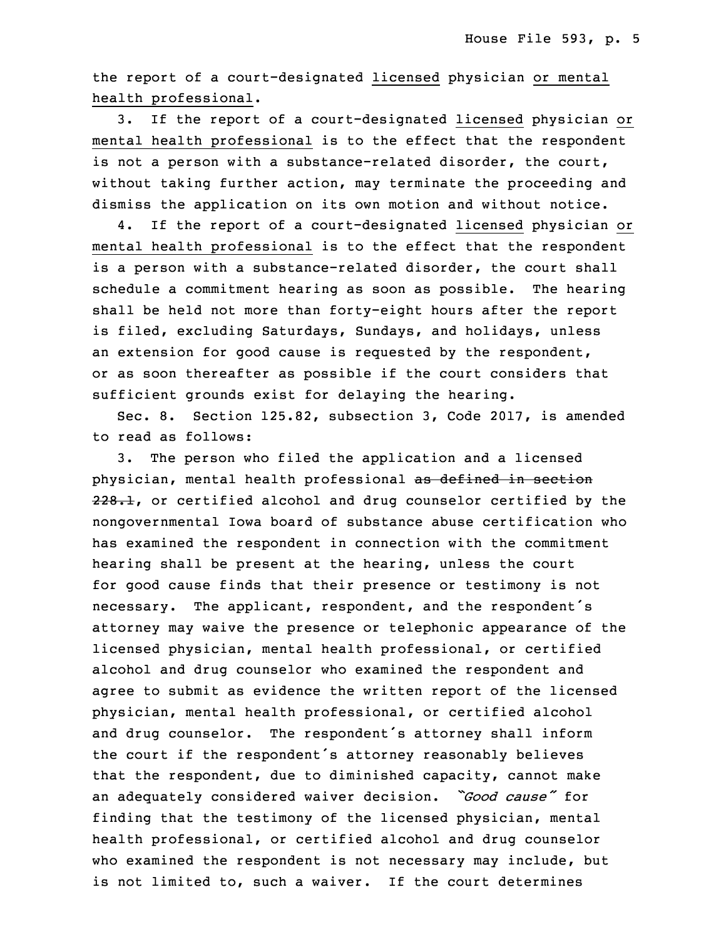the report of a court-designated licensed physician or mental health professional.

 3. If the report of <sup>a</sup> court-designated licensed physician or mental health professional is to the effect that the respondent is not a person with a substance-related disorder, the court, without taking further action, may terminate the proceeding and dismiss the application on its own motion and without notice.

4. If the report of a court-designated licensed physician or mental health professional is to the effect that the respondent is a person with a substance-related disorder, the court shall schedule a commitment hearing as soon as possible. The hearing shall be held not more than forty-eight hours after the report is filed, excluding Saturdays, Sundays, and holidays, unless an extension for good cause is requested by the respondent, or as soon thereafter as possible if the court considers that sufficient grounds exist for delaying the hearing.

Sec. 8. Section 125.82, subsection 3, Code 2017, is amended to read as follows:

3. The person who filed the application and a licensed physician, mental health professional as defined in section  $228.1$ , or certified alcohol and drug counselor certified by the nongovernmental Iowa board of substance abuse certification who has examined the respondent in connection with the commitment hearing shall be present at the hearing, unless the court for good cause finds that their presence or testimony is not necessary. The applicant, respondent, and the respondent's attorney may waive the presence or telephonic appearance of the licensed physician, mental health professional, or certified alcohol and drug counselor who examined the respondent and agree to submit as evidence the written report of the licensed physician, mental health professional, or certified alcohol and drug counselor. The respondent's attorney shall inform the court if the respondent's attorney reasonably believes that the respondent, due to diminished capacity, cannot make <sup>33</sup> an adequately considered waiver decision. *"Good cause"* for finding that the testimony of the licensed physician, mental health professional, or certified alcohol and drug counselor who examined the respondent is not necessary may include, but is not limited to, such <sup>a</sup> waiver. If the court determines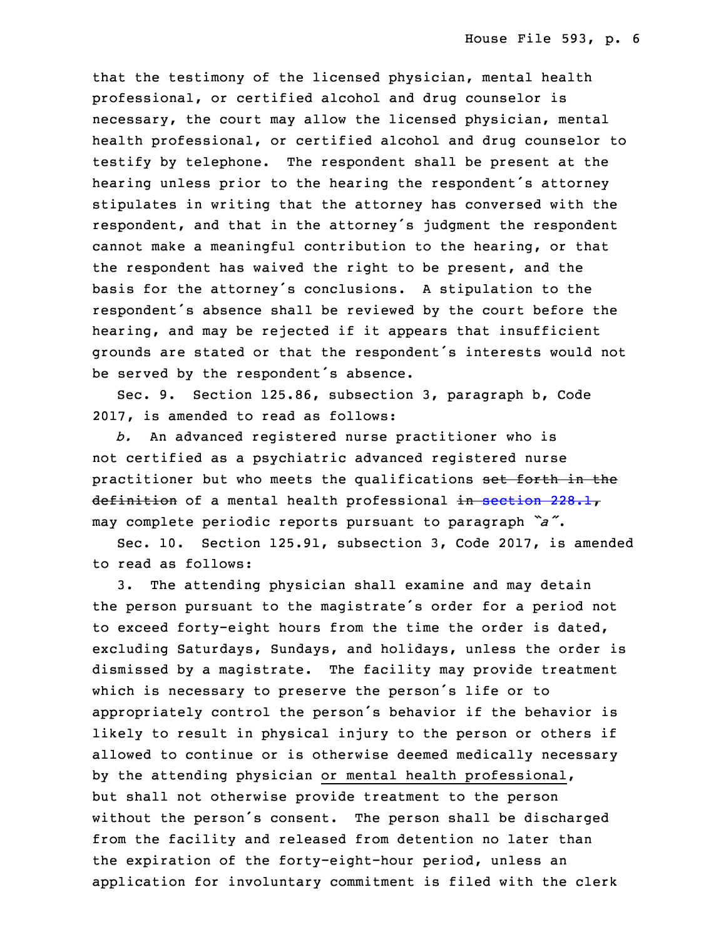that the testimony of the licensed physician, mental health professional, or certified alcohol and drug counselor is necessary, the court may allow the licensed physician, mental health professional, or certified alcohol and drug counselor to testify by telephone. The respondent shall be present at the hearing unless prior to the hearing the respondent's attorney stipulates in writing that the attorney has conversed with the respondent, and that in the attorney's judgment the respondent cannot make <sup>a</sup> meaningful contribution to the hearing, or that the respondent has waived the right to be present, and the basis for the attorney's conclusions. A stipulation to the respondent's absence shall be reviewed by the court before the hearing, and may be rejected if it appears that insufficient grounds are stated or that the respondent's interests would not be served by the respondent's absence.

Sec. 9. Section 125.86, subsection 3, paragraph b, Code 2017, is amended to read as follows:

b. An advanced registered nurse practitioner who is not certified as <sup>a</sup> psychiatric advanced registered nurse practitioner but who meets the qualifications set forth in the definition of a mental health professional in [section](https://www.legis.iowa.gov/docs/code/2017/228.1.pdf) 228.1, may complete periodic reports pursuant to paragraph *"a"*.

Sec. 10. Section 125.91, subsection 3, Code 2017, is amended to read as follows:

3. The attending physician shall examine and may detain the person pursuant to the magistrate's order for a period not to exceed forty-eight hours from the time the order is dated, excluding Saturdays, Sundays, and holidays, unless the order is dismissed by a magistrate. The facility may provide treatment which is necessary to preserve the person's life or to appropriately control the person's behavior if the behavior is likely to result in physical injury to the person or others if allowed to continue or is otherwise deemed medically necessary by the attending physician or mental health professional, but shall not otherwise provide treatment to the person without the person's consent. The person shall be discharged from the facility and released from detention no later than the expiration of the forty-eight-hour period, unless an application for involuntary commitment is filed with the clerk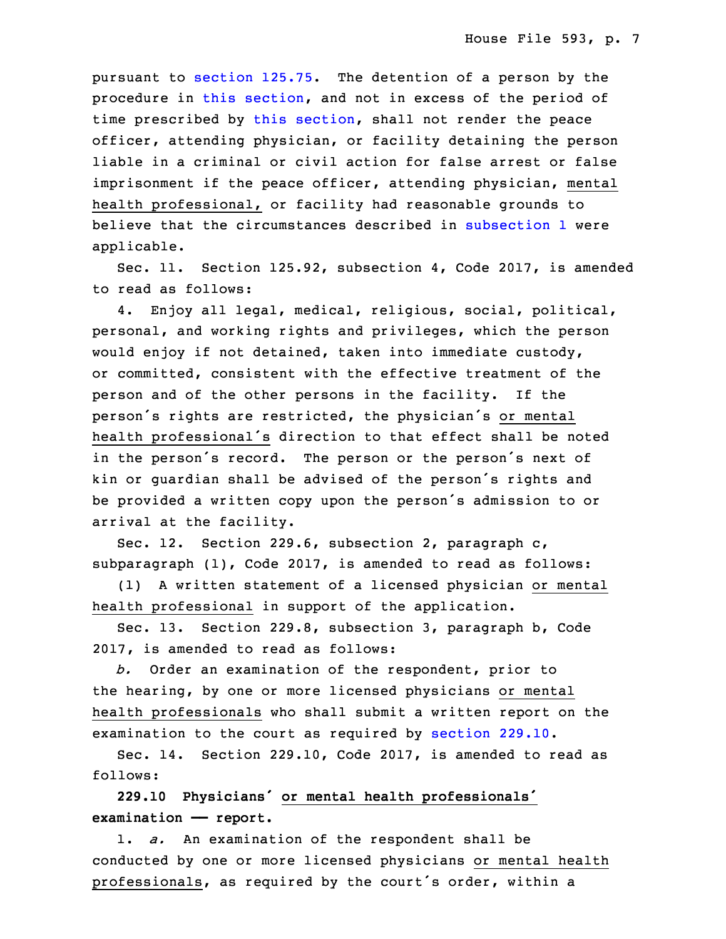pursuant to [section](https://www.legis.iowa.gov/docs/code/2017/125.75.pdf) 125.75. The detention of a person by the procedure in this [section](https://www.legis.iowa.gov/docs/code/2017/125.91.pdf), and not in excess of the period of time prescribed by this [section](https://www.legis.iowa.gov/docs/code/2017/125.91.pdf), shall not render the peace officer, attending physician, or facility detaining the person liable in <sup>a</sup> criminal or civil action for false arrest or false imprisonment if the peace officer, attending physician, mental health professional, or facility had reasonable grounds to believe that the circumstances described in [subsection](https://www.legis.iowa.gov/docs/code/2017/125.91.pdf) 1 were applicable.

Sec. 11. Section 125.92, subsection 4, Code 2017, is amended to read as follows:

4. Enjoy all legal, medical, religious, social, political, personal, and working rights and privileges, which the person would enjoy if not detained, taken into immediate custody, or committed, consistent with the effective treatment of the person and of the other persons in the facility. If the person's rights are restricted, the physician's or mental health professional's direction to that effect shall be noted in the person's record. The person or the person's next of kin or guardian shall be advised of the person's rights and be provided a written copy upon the person's admission to or arrival at the facility.

Sec. 12. Section 229.6, subsection 2, paragraph c,  $subparagn (1)$ , Code 2017, is amended to read as follows:

(1) A written statement of a licensed physician or mental health professional in support of the application.

Sec. 13. Section 229.8, subsection 3, paragraph b, Code 2017, is amended to read as follows:

35 *b.* Order an examination of the respondent, prior to the hearing, by one or more licensed physicians or mental health professionals who shall submit <sup>a</sup> written report on the examination to the court as required by [section](https://www.legis.iowa.gov/docs/code/2017/229.10.pdf) 229.10.

 Sec. 14. Section 229.10, Code 2017, is amended to read as 5 follows:

<sup>6</sup> **229.10 Physicians' or mental health professionals'** 7 **examination —— report.**

1. *a.* An examination of the respondent shall be conducted by one or more licensed physicians or mental health professionals, as required by the court's order, within a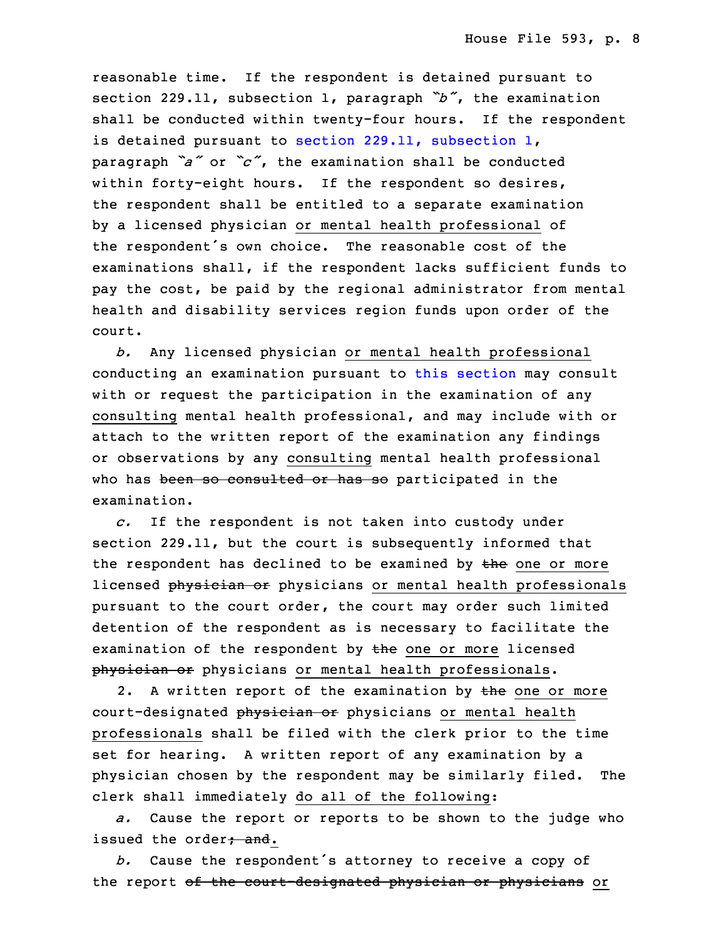reasonable time. If the respondent is detained pursuant to section 229.11, subsection 1, paragraph *"b"*, the examination shall be conducted within twenty-four hours. If the respondent is detained pursuant to section 229.11, [subsection](https://www.legis.iowa.gov/docs/code/2017/229.11.pdf) 1, <sup>15</sup> paragraph *"a"* or *"c"*, the examination shall be conducted within forty-eight hours. If the respondent so desires, the respondent shall be entitled to a separate examination by a licensed physician or mental health professional of the respondent's own choice. The reasonable cost of the examinations shall, if the respondent lacks sufficient funds to pay the cost, be paid by the regional administrator from mental health and disability services region funds upon order of the court.

 *b.* Any licensed physician or mental health professional conducting an examination pursuant to this [section](https://www.legis.iowa.gov/docs/code/2017/229.10.pdf) may consult with or request the participation in the examination of any consulting mental health professional, and may include with or attach to the written report of the examination any findings or observations by any consulting mental health professional who has been so consulted or has so participated in the examination.

32 *c.* If the respondent is not taken into custody under section 229.11, but the court is subsequently informed that the respondent has declined to be examined by  $t$ he one or more licensed physician or physicians or mental health professionals pursuant to the court order, the court may order such limited detention of the respondent as is necessary to facilitate the examination of the respondent by the one or more licensed physician or physicians or mental health professionals.

2. A written report of the examination by the one or more court-designated physician or physicians or mental health professionals shall be filed with the clerk prior to the time set for hearing. A written report of any examination by a physician chosen by the respondent may be similarly filed. The clerk shall immediately do all of the following:

 *a.* Cause the report or reports to be shown to the judge who issued the order<del>; and</del>.

b. Cause the respondent's attorney to receive a copy of the report of the court-designated physician or physicians or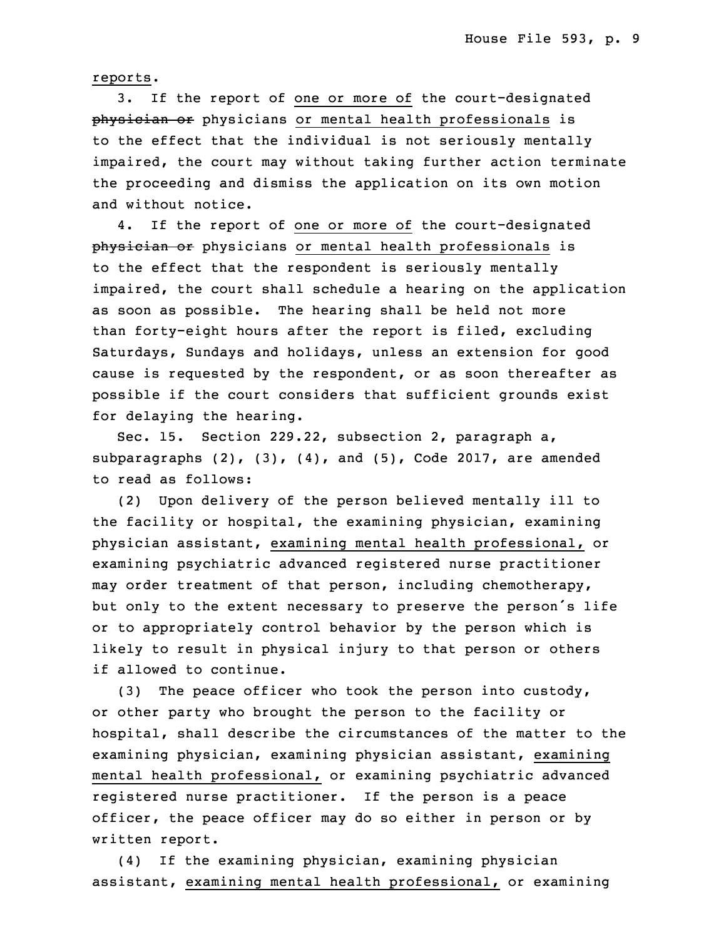reports.

3. If the report of one or more of the court-designated physician or physicians or mental health professionals is to the effect that the individual is not seriously mentally impaired, the court may without taking further action terminate the proceeding and dismiss the application on its own motion and without notice.

 4. If the report of one or more of the court-designated physician or physicians or mental health professionals is to the effect that the respondent is seriously mentally impaired, the court shall schedule a hearing on the application as soon as possible. The hearing shall be held not more than forty-eight hours after the report is filed, excluding Saturdays, Sundays and holidays, unless an extension for good cause is requested by the respondent, or as soon thereafter as possible if the court considers that sufficient grounds exist for delaying the hearing.

Sec. 15. Section 229.22, subsection 2, paragraph a, subparagraphs  $(2)$ ,  $(3)$ ,  $(4)$ , and  $(5)$ , Code 2017, are amended to read as follows:

(2) Upon delivery of the person believed mentally ill to the facility or hospital, the examining physician, examining physician assistant, examining mental health professional, or examining psychiatric advanced registered nurse practitioner may order treatment of that person, including chemotherapy, but only to the extent necessary to preserve the person's life or to appropriately control behavior by the person which is likely to result in physical injury to that person or others if allowed to continue.

(3) The peace officer who took the person into custody, or other party who brought the person to the facility or hospital, shall describe the circumstances of the matter to the examining physician, examining physician assistant, examining mental health professional, or examining psychiatric advanced registered nurse practitioner. If the person is <sup>a</sup> peace officer, the peace officer may do so either in person or by written report.

(4) If the examining physician, examining physician assistant, examining mental health professional, or examining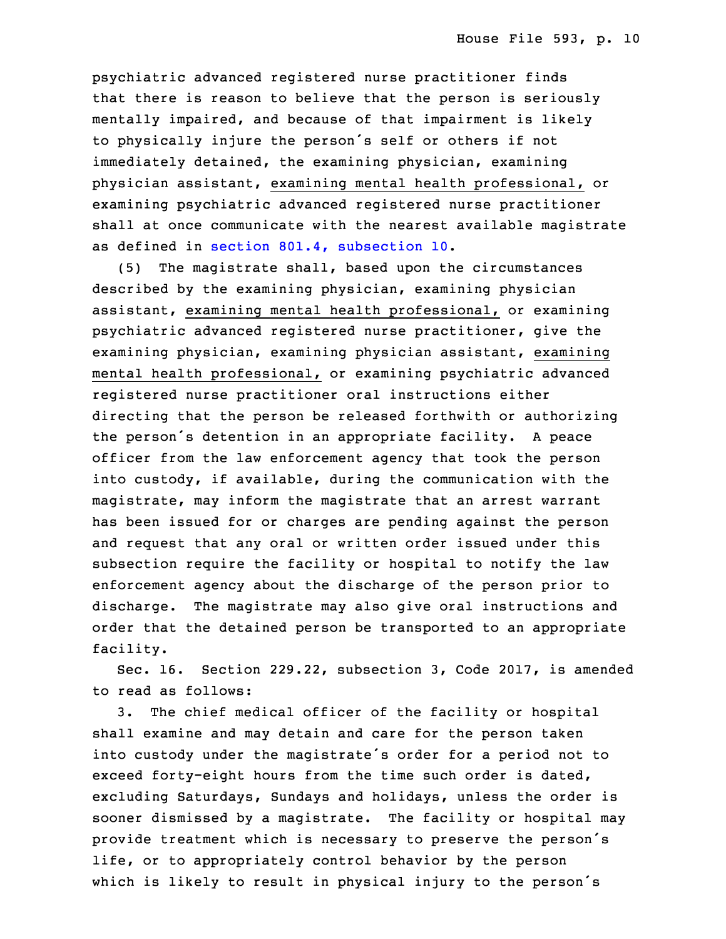psychiatric advanced registered nurse practitioner finds that there is reason to believe that the person is seriously mentally impaired, and because of that impairment is likely to physically injure the person's self or others if not immediately detained, the examining physician, examining physician assistant, examining mental health professional, or examining psychiatric advanced registered nurse practitioner shall at once communicate with the nearest available magistrate as defined in section 801.4, [subsection](https://www.legis.iowa.gov/docs/code/2017/801.4.pdf) 10.

(5) The magistrate shall, based upon the circumstances described by the examining physician, examining physician assistant, examining mental health professional, or examining psychiatric advanced registered nurse practitioner, give the examining physician, examining physician assistant, examining mental health professional, or examining psychiatric advanced registered nurse practitioner oral instructions either directing that the person be released forthwith or authorizing the person's detention in an appropriate facility. <sup>A</sup> peace officer from the law enforcement agency that took the person into custody, if available, during the communication with the magistrate, may inform the magistrate that an arrest warrant has been issued for or charges are pending against the person and request that any oral or written order issued under this subsection require the facility or hospital to notify the law enforcement agency about the discharge of the person prior to discharge. The magistrate may also give oral instructions and order that the detained person be transported to an appropriate facility.

 Sec. 16. Section 229.22, subsection 3, Code 2017, is amended to read as follows:

 3. The chief medical officer of the facility or hospital shall examine and may detain and care for the person taken into custody under the magistrate's order for a period not to exceed forty-eight hours from the time such order is dated, excluding Saturdays, Sundays and holidays, unless the order is sooner dismissed by a magistrate. The facility or hospital may provide treatment which is necessary to preserve the person's life, or to appropriately control behavior by the person which is likely to result in physical injury to the person's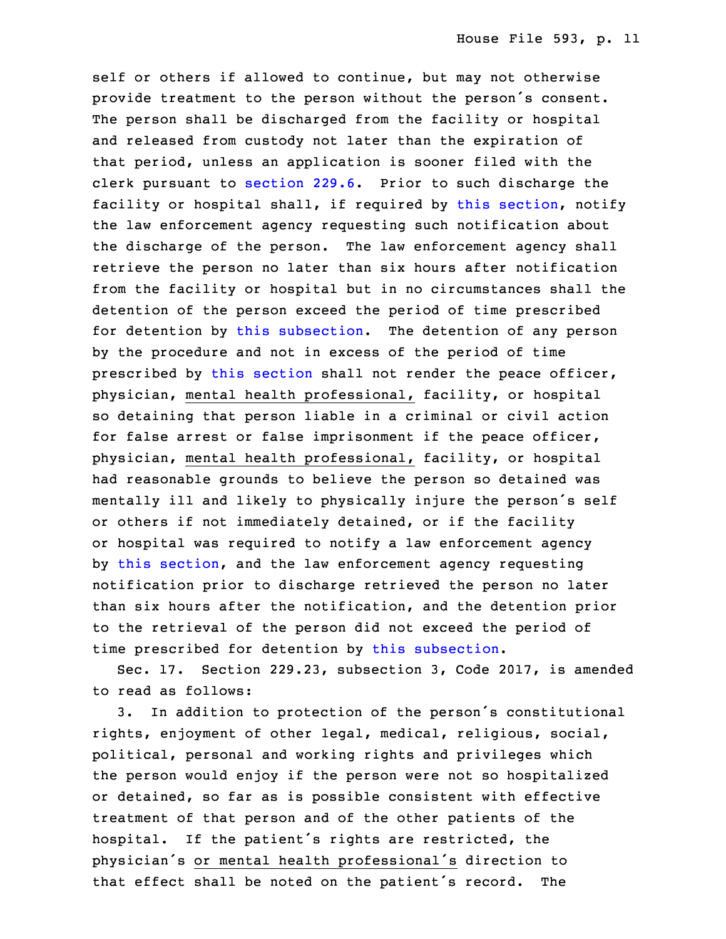self or others if allowed to continue, but may not otherwise provide treatment to the person without the person's consent. The person shall be discharged from the facility or hospital and released from custody not later than the expiration of that period, unless an application is sooner filed with the clerk pursuant to [section](https://www.legis.iowa.gov/docs/code/2017/229.6.pdf)  $229.6$ . Prior to such discharge the facility or hospital shall, if required by this [section](https://www.legis.iowa.gov/docs/code/2017/229.22.pdf), notify the law enforcement agency requesting such notification about the discharge of the person. The law enforcement agency shall retrieve the person no later than six hours after notification from the facility or hospital but in no circumstances shall the detention of the person exceed the period of time prescribed for detention by this [subsection](https://www.legis.iowa.gov/docs/code/2017/229.22.pdf). The detention of any person by the procedure and not in excess of the period of time prescribed by this [section](https://www.legis.iowa.gov/docs/code/2017/229.22.pdf) shall not render the peace officer, physician, mental health professional, facility, or hospital so detaining that person liable in <sup>a</sup> criminal or civil action for false arrest or false imprisonment if the peace officer, physician, mental health professional, facility, or hospital had reasonable grounds to believe the person so detained was mentally ill and likely to physically injure the person's self or others if not immediately detained, or if the facility or hospital was required to notify a law enforcement agency by this [section](https://www.legis.iowa.gov/docs/code/2017/229.22.pdf), and the law enforcement agency requesting notification prior to discharge retrieved the person no later than six hours after the notification, and the detention prior to the retrieval of the person did not exceed the period of time prescribed for detention by this [subsection](https://www.legis.iowa.gov/docs/code/2017/229.22.pdf).

Sec. 17. Section 229.23, subsection 3, Code 2017, is amended to read as follows:

3. In addition to protection of the person's constitutional rights, enjoyment of other legal, medical, religious, social, political, personal and working rights and privileges which the person would enjoy if the person were not so hospitalized or detained, so far as is possible consistent with effective treatment of that person and of the other patients of the hospital. If the patient's rights are restricted, the physician's or mental health professional's direction to that effect shall be noted on the patient's record. The